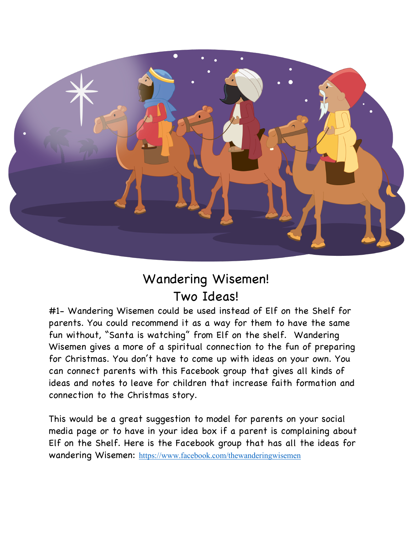

## Wandering Wisemen! Two Ideas!

#1- Wandering Wisemen could be used instead of Elf on the Shelf for parents. You could recommend it as a way for them to have the same fun without, "Santa is watching" from Elf on the shelf. Wandering Wisemen gives a more of a spiritual connection to the fun of preparing for Christmas. You don't have to come up with ideas on your own. You can connect parents with this Facebook group that gives all kinds of ideas and notes to leave for children that increase faith formation and connection to the Christmas story.

This would be a great suggestion to model for parents on your social media page or to have in your idea box if a parent is complaining about Elf on the Shelf. Here is the Facebook group that has all the ideas for wandering Wisemen: https://www.facebook.com/thewanderingwisemen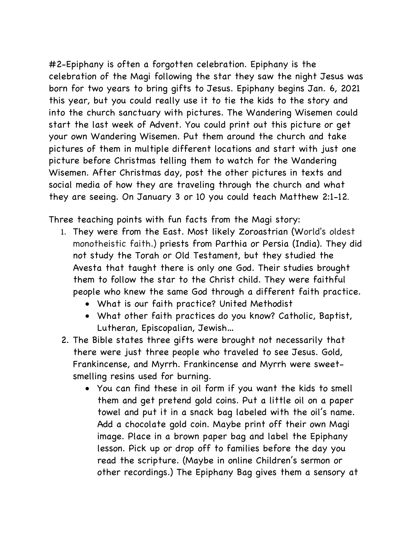#2-Epiphany is often a forgotten celebration. Epiphany is the celebration of the Magi following the star they saw the night Jesus was born for two years to bring gifts to Jesus. Epiphany begins Jan. 6, 2021 this year, but you could really use it to tie the kids to the story and into the church sanctuary with pictures. The Wandering Wisemen could start the last week of Advent. You could print out this picture or get your own Wandering Wisemen. Put them around the church and take pictures of them in multiple different locations and start with just one picture before Christmas telling them to watch for the Wandering Wisemen. After Christmas day, post the other pictures in texts and social media of how they are traveling through the church and what they are seeing. On January 3 or 10 you could teach Matthew 2:1-12.

Three teaching points with fun facts from the Magi story:

- 1. They were from the East. Most likely Zoroastrian (World's oldest monotheistic faith.) priests from Parthia or Persia (India). They did not study the Torah or Old Testament, but they studied the Avesta that taught there is only one God. Their studies brought them to follow the star to the Christ child. They were faithful people who knew the same God through a different faith practice.
	- What is our faith practice? United Methodist
	- What other faith practices do you know? Catholic, Baptist, Lutheran, Episcopalian, Jewish…
- 2. The Bible states three gifts were brought not necessarily that there were just three people who traveled to see Jesus. Gold, Frankincense, and Myrrh. Frankincense and Myrrh were sweetsmelling resins used for burning.
	- You can find these in oil form if you want the kids to smell them and get pretend gold coins. Put a little oil on a paper towel and put it in a snack bag labeled with the oil's name. Add a chocolate gold coin. Maybe print off their own Magi image. Place in a brown paper bag and label the Epiphany lesson. Pick up or drop off to families before the day you read the scripture. (Maybe in online Children's sermon or other recordings.) The Epiphany Bag gives them a sensory at